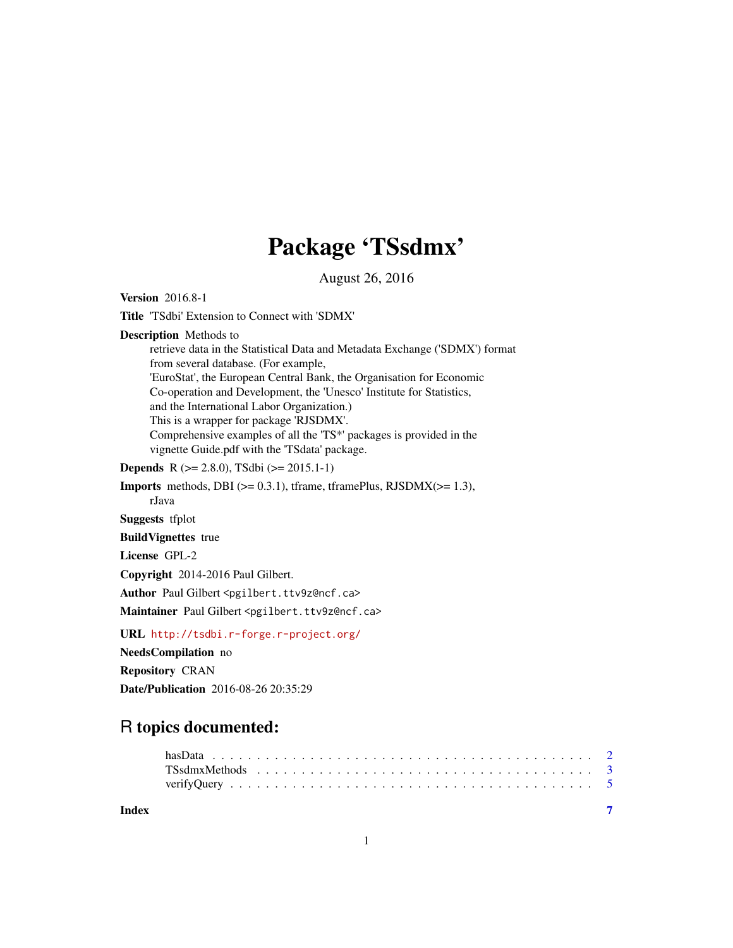# Package 'TSsdmx'

August 26, 2016

<span id="page-0-0"></span>

| <b>Version</b> 2016.8-1                                                                                                                                                                                                                                                                                                                                                                                                                                                                                               |
|-----------------------------------------------------------------------------------------------------------------------------------------------------------------------------------------------------------------------------------------------------------------------------------------------------------------------------------------------------------------------------------------------------------------------------------------------------------------------------------------------------------------------|
| <b>Title</b> 'TSdbi' Extension to Connect with 'SDMX'                                                                                                                                                                                                                                                                                                                                                                                                                                                                 |
| <b>Description</b> Methods to<br>retrieve data in the Statistical Data and Metadata Exchange ('SDMX') format<br>from several database. (For example,<br>'EuroStat', the European Central Bank, the Organisation for Economic<br>Co-operation and Development, the 'Unesco' Institute for Statistics,<br>and the International Labor Organization.)<br>This is a wrapper for package 'RJSDMX'.<br>Comprehensive examples of all the 'TS*' packages is provided in the<br>vignette Guide.pdf with the 'TSdata' package. |
| <b>Depends</b> R ( $>= 2.8.0$ ), TSdbi ( $>= 2015.1-1$ )                                                                                                                                                                                                                                                                                                                                                                                                                                                              |
| <b>Imports</b> methods, DBI $(>= 0.3.1)$ , tframe, tframePlus, RJSDMX $(>= 1.3)$ ,<br>rJava                                                                                                                                                                                                                                                                                                                                                                                                                           |
| <b>Suggests</b> tfplot                                                                                                                                                                                                                                                                                                                                                                                                                                                                                                |
| <b>BuildVignettes</b> true                                                                                                                                                                                                                                                                                                                                                                                                                                                                                            |
| License GPL-2                                                                                                                                                                                                                                                                                                                                                                                                                                                                                                         |
| Copyright 2014-2016 Paul Gilbert.                                                                                                                                                                                                                                                                                                                                                                                                                                                                                     |
| Author Paul Gilbert <pgilbert.ttv9z@ncf.ca></pgilbert.ttv9z@ncf.ca>                                                                                                                                                                                                                                                                                                                                                                                                                                                   |
| Maintainer Paul Gilbert <pgilbert.ttv9z@ncf.ca></pgilbert.ttv9z@ncf.ca>                                                                                                                                                                                                                                                                                                                                                                                                                                               |
| URL http://tsdbi.r-forge.r-project.org/                                                                                                                                                                                                                                                                                                                                                                                                                                                                               |
| <b>NeedsCompilation</b> no                                                                                                                                                                                                                                                                                                                                                                                                                                                                                            |
| <b>Repository CRAN</b>                                                                                                                                                                                                                                                                                                                                                                                                                                                                                                |
| <b>Date/Publication</b> 2016-08-26 20:35:29                                                                                                                                                                                                                                                                                                                                                                                                                                                                           |

# R topics documented:

| Index |  |  |  |  |  |  |  |  |  |  |  |  |  |  |  |  |  |  |
|-------|--|--|--|--|--|--|--|--|--|--|--|--|--|--|--|--|--|--|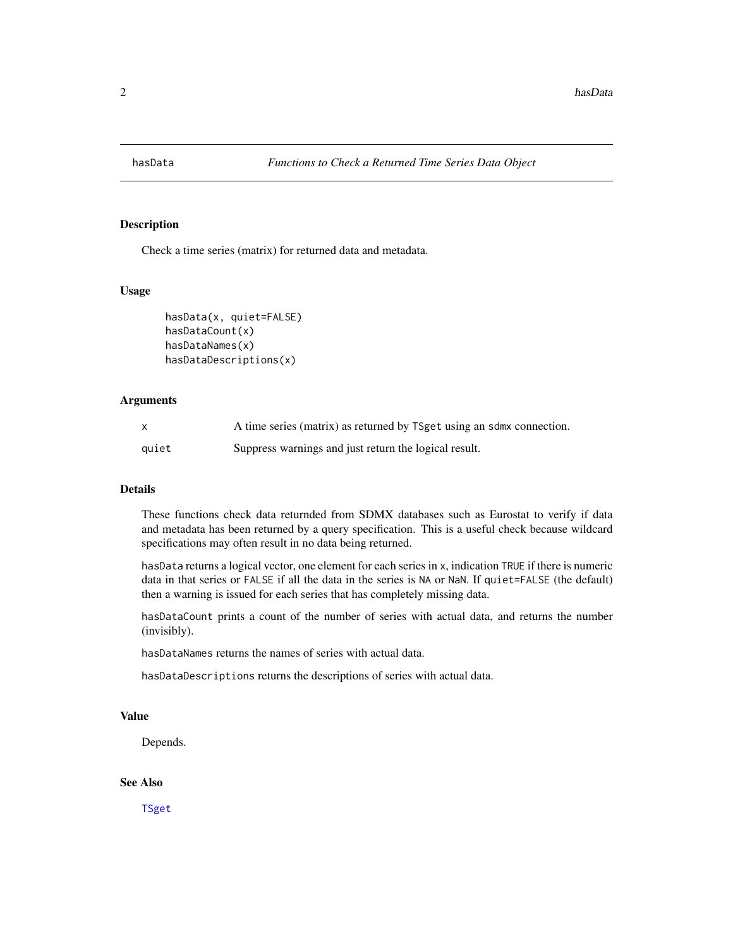<span id="page-1-0"></span>

#### Description

Check a time series (matrix) for returned data and metadata.

# Usage

```
hasData(x, quiet=FALSE)
hasDataCount(x)
hasDataNames(x)
hasDataDescriptions(x)
```
#### Arguments

|       | A time series (matrix) as returned by TSget using an sdmx connection. |
|-------|-----------------------------------------------------------------------|
| quiet | Suppress warnings and just return the logical result.                 |

## Details

These functions check data returnded from SDMX databases such as Eurostat to verify if data and metadata has been returned by a query specification. This is a useful check because wildcard specifications may often result in no data being returned.

hasData returns a logical vector, one element for each series in x, indication TRUE if there is numeric data in that series or FALSE if all the data in the series is NA or NaN. If quiet=FALSE (the default) then a warning is issued for each series that has completely missing data.

hasDataCount prints a count of the number of series with actual data, and returns the number (invisibly).

hasDataNames returns the names of series with actual data.

hasDataDescriptions returns the descriptions of series with actual data.

# Value

Depends.

#### See Also

[TSget](#page-0-0)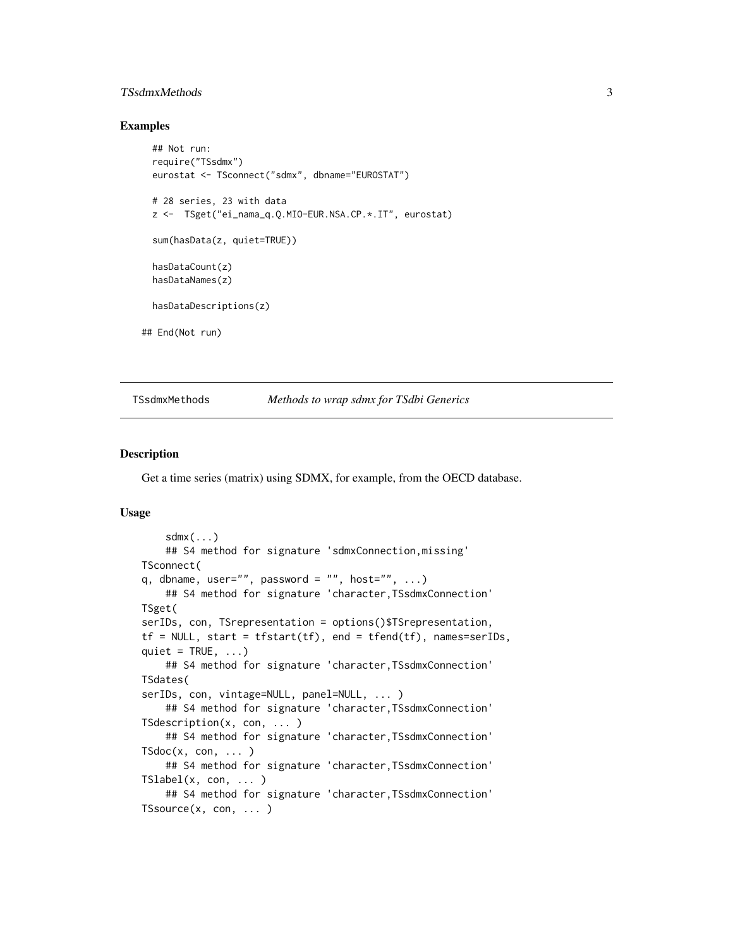# <span id="page-2-0"></span>TSsdmxMethods 3

#### Examples

```
## Not run:
 require("TSsdmx")
 eurostat <- TSconnect("sdmx", dbname="EUROSTAT")
 # 28 series, 23 with data
 z <- TSget("ei_nama_q.Q.MIO-EUR.NSA.CP.*.IT", eurostat)
 sum(hasData(z, quiet=TRUE))
 hasDataCount(z)
 hasDataNames(z)
 hasDataDescriptions(z)
## End(Not run)
```
TSsdmxMethods *Methods to wrap sdmx for TSdbi Generics*

#### Description

Get a time series (matrix) using SDMX, for example, from the OECD database.

# Usage

```
sdmx(...)## S4 method for signature 'sdmxConnection,missing'
TSconnect(
q, dbname, user="", password = "", host="", ...)
   ## S4 method for signature 'character,TSsdmxConnection'
TSget(
serIDs, con, TSrepresentation = options()$TSrepresentation,
tf = NULL, start = tfstart(tf), end = tfend(tf), names=serIDs,
quiet = TRUE, ...)
    ## S4 method for signature 'character,TSsdmxConnection'
TSdates(
serIDs, con, vintage=NULL, panel=NULL, ... )
    ## S4 method for signature 'character,TSsdmxConnection'
TSdescription(x, con, ... )
   ## S4 method for signature 'character,TSsdmxConnection'
TSdoc(x, con, ... )## S4 method for signature 'character,TSsdmxConnection'
TSlabel(x, con, ... )
   ## S4 method for signature 'character,TSsdmxConnection'
TSsource(x, con, ... )
```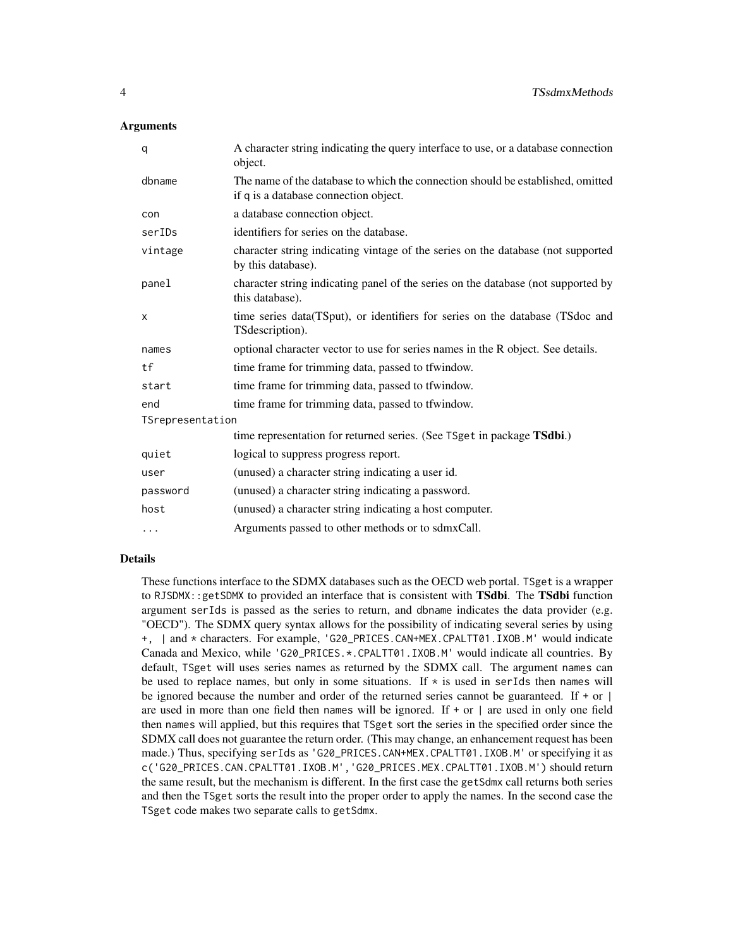#### **Arguments**

| q                | A character string indicating the query interface to use, or a database connection<br>object.                            |
|------------------|--------------------------------------------------------------------------------------------------------------------------|
| dbname           | The name of the database to which the connection should be established, omitted<br>if q is a database connection object. |
| con              | a database connection object.                                                                                            |
| serIDs           | identifiers for series on the database.                                                                                  |
| vintage          | character string indicating vintage of the series on the database (not supported<br>by this database).                   |
| panel            | character string indicating panel of the series on the database (not supported by<br>this database).                     |
| X                | time series data(TSput), or identifiers for series on the database (TSdoc and<br>TSdescription).                         |
| names            | optional character vector to use for series names in the R object. See details.                                          |
| tf               | time frame for trimming data, passed to tfwindow.                                                                        |
| start            | time frame for trimming data, passed to tfwindow.                                                                        |
| end              | time frame for trimming data, passed to tfwindow.                                                                        |
| TSrepresentation |                                                                                                                          |
|                  | time representation for returned series. (See TSget in package TSdbi.)                                                   |
| quiet            | logical to suppress progress report.                                                                                     |
| user             | (unused) a character string indicating a user id.                                                                        |
| password         | (unused) a character string indicating a password.                                                                       |
| host             | (unused) a character string indicating a host computer.                                                                  |
| $\cdots$         | Arguments passed to other methods or to sdmxCall.                                                                        |

#### Details

These functions interface to the SDMX databases such as the OECD web portal. TSget is a wrapper to RJSDMX: : getSDMX to provided an interface that is consistent with TSdbi. The TSdbi function argument serIds is passed as the series to return, and dbname indicates the data provider (e.g. "OECD"). The SDMX query syntax allows for the possibility of indicating several series by using +, | and \* characters. For example, 'G20\_PRICES.CAN+MEX.CPALTT01.IXOB.M' would indicate Canada and Mexico, while 'G20\_PRICES.\*.CPALTT01.IXOB.M' would indicate all countries. By default, TSget will uses series names as returned by the SDMX call. The argument names can be used to replace names, but only in some situations. If  $\star$  is used in serIds then names will be ignored because the number and order of the returned series cannot be guaranteed. If  $+$  or  $|$ are used in more than one field then names will be ignored. If  $+$  or  $\vert$  are used in only one field then names will applied, but this requires that TSget sort the series in the specified order since the SDMX call does not guarantee the return order. (This may change, an enhancement request has been made.) Thus, specifying serIds as 'G20\_PRICES.CAN+MEX.CPALTT01.IXOB.M' or specifying it as c('G20\_PRICES.CAN.CPALTT01.IXOB.M','G20\_PRICES.MEX.CPALTT01.IXOB.M') should return the same result, but the mechanism is different. In the first case the getSdmx call returns both series and then the TSget sorts the result into the proper order to apply the names. In the second case the TSget code makes two separate calls to getSdmx.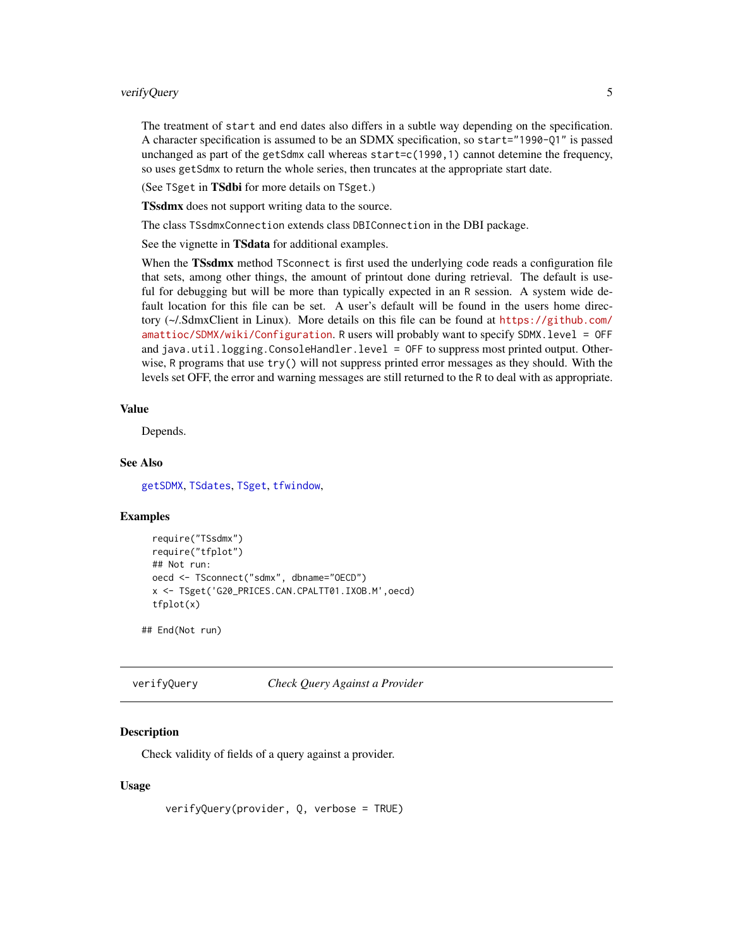### <span id="page-4-0"></span>verifyQuery 5

The treatment of start and end dates also differs in a subtle way depending on the specification. A character specification is assumed to be an SDMX specification, so start="1990-Q1" is passed unchanged as part of the getSdmx call whereas start=c(1990,1) cannot detemine the frequency, so uses getSdmx to return the whole series, then truncates at the appropriate start date.

(See TSget in TSdbi for more details on TSget.)

**TSsdmx** does not support writing data to the source.

The class TSsdmxConnection extends class DBIConnection in the DBI package.

See the vignette in TSdata for additional examples.

When the TSsdmx method TSconnect is first used the underlying code reads a configuration file that sets, among other things, the amount of printout done during retrieval. The default is useful for debugging but will be more than typically expected in an R session. A system wide default location for this file can be set. A user's default will be found in the users home directory (~/.SdmxClient in Linux). More details on this file can be found at [https://github.com/](https://github.com/amattioc/SDMX/wiki/Configuration) [amattioc/SDMX/wiki/Configuration](https://github.com/amattioc/SDMX/wiki/Configuration). R users will probably want to specify SDMX.level = OFF and java.util.logging.ConsoleHandler.level = OFF to suppress most printed output. Otherwise, R programs that use  $\text{try}()$  will not suppress printed error messages as they should. With the levels set OFF, the error and warning messages are still returned to the R to deal with as appropriate.

# Value

Depends.

# See Also

[getSDMX](#page-0-0), [TSdates](#page-0-0), [TSget](#page-0-0), [tfwindow](#page-0-0),

#### Examples

```
require("TSsdmx")
require("tfplot")
## Not run:
oecd <- TSconnect("sdmx", dbname="OECD")
x <- TSget('G20_PRICES.CAN.CPALTT01.IXOB.M',oecd)
tfplot(x)
```
## End(Not run)

verifyQuery *Check Query Against a Provider*

#### **Description**

Check validity of fields of a query against a provider.

#### Usage

```
verifyQuery(provider, Q, verbose = TRUE)
```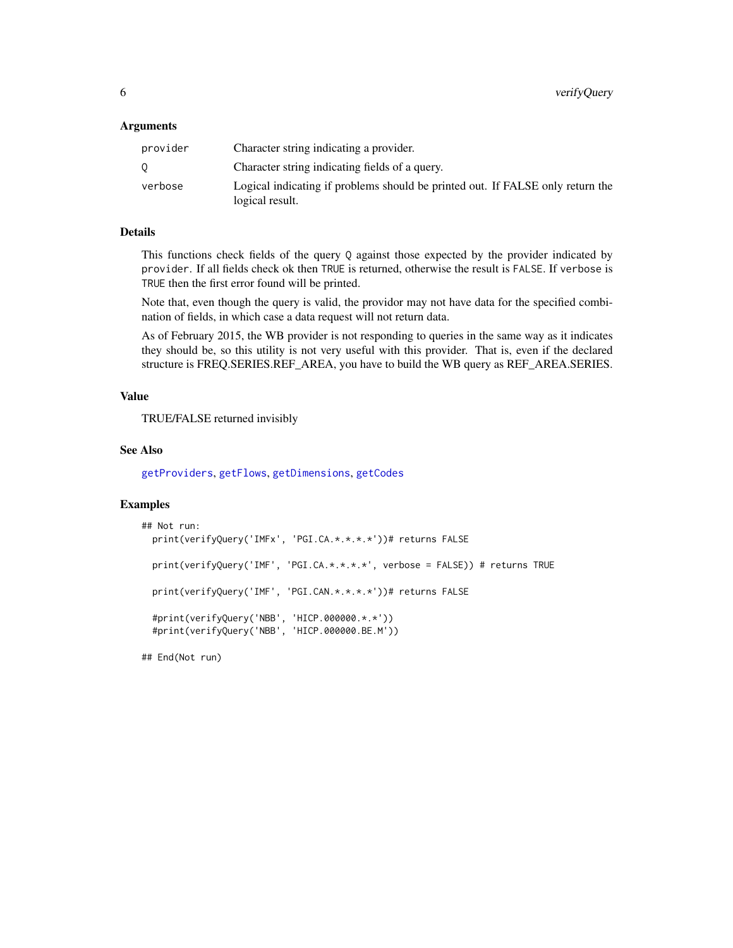#### <span id="page-5-0"></span>Arguments

| provider | Character string indicating a provider.                                                           |
|----------|---------------------------------------------------------------------------------------------------|
|          | Character string indicating fields of a query.                                                    |
| verbose  | Logical indicating if problems should be printed out. If FALSE only return the<br>logical result. |

# Details

This functions check fields of the query Q against those expected by the provider indicated by provider. If all fields check ok then TRUE is returned, otherwise the result is FALSE. If verbose is TRUE then the first error found will be printed.

Note that, even though the query is valid, the providor may not have data for the specified combination of fields, in which case a data request will not return data.

As of February 2015, the WB provider is not responding to queries in the same way as it indicates they should be, so this utility is not very useful with this provider. That is, even if the declared structure is FREQ.SERIES.REF\_AREA, you have to build the WB query as REF\_AREA.SERIES.

# Value

TRUE/FALSE returned invisibly

#### See Also

[getProviders](#page-0-0), [getFlows](#page-0-0), [getDimensions](#page-0-0), [getCodes](#page-0-0)

#### Examples

```
## Not run:
 print(verifyQuery('IMFx', 'PGI.CA.*.*.*.*'))# returns FALSE
 print(verifyQuery('IMF', 'PGI.CA.*.*.*.*', verbose = FALSE)) # returns TRUE
 print(verifyQuery('IMF', 'PGI.CAN.*.*.*.*'))# returns FALSE
 #print(verifyQuery('NBB', 'HICP.000000.*.*'))
 #print(verifyQuery('NBB', 'HICP.000000.BE.M'))
```
## End(Not run)